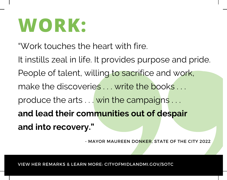# **WORK:**

"Work touches the heart with fire.

It instills zeal in life. It provides purpose and pride. People of talent, willing to sacrifice and work, make the discoveries ... write the books ... produce the arts . . . win the campaigns . . . **and lead their communities out of despair and into recovery."**

- MAYOR MAUREEN DONKER, STATE OF THE CITY 2022